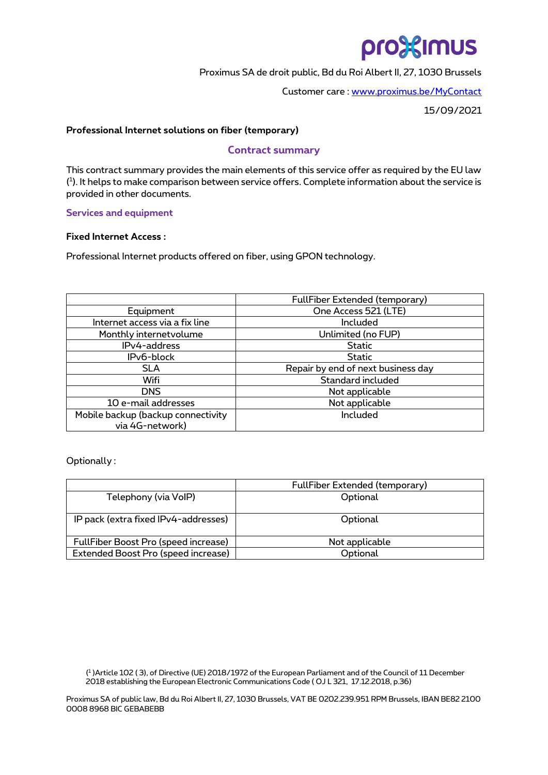# pro<sup>32</sup>imus

Proximus SA de droit public, Bd du Roi Albert II, 27, 1030 Brussels

Customer care : [www.proximus.be/MyContact](http://www.proximus.be/MyContact)

15/09/2021

#### **Professional Internet solutions on fiber (temporary)**

#### **Contract summary**

This contract summary provides the main elements of this service offer as required by the EU law ( 1 ). It helps to make comparison between service offers. Complete information about the service is provided in other documents.

**Services and equipment**

#### **Fixed Internet Access :**

Professional Internet products offered on fiber, using GPON technology.

|                                    | FullFiber Extended (temporary)     |
|------------------------------------|------------------------------------|
| Equipment                          | One Access 521 (LTE)               |
| Internet access via a fix line     | Included                           |
| Monthly internetvolume             | Unlimited (no FUP)                 |
| IPv4-address                       | <b>Static</b>                      |
| IPv6-block                         | <b>Static</b>                      |
| <b>SLA</b>                         | Repair by end of next business day |
| Wifi                               | Standard included                  |
| <b>DNS</b>                         | Not applicable                     |
| 10 e-mail addresses                | Not applicable                     |
| Mobile backup (backup connectivity | Included                           |
| via 4G-network)                    |                                    |

Optionally :

|                                      | <b>FullFiber Extended (temporary)</b> |
|--------------------------------------|---------------------------------------|
| Telephony (via VoIP)                 | Optional                              |
|                                      |                                       |
| IP pack (extra fixed IPv4-addresses) | Optional                              |
|                                      |                                       |
| FullFiber Boost Pro (speed increase) | Not applicable                        |
| Extended Boost Pro (speed increase)  | Optional                              |

Proximus SA of public law, Bd du Roi Albert II, 27, 1030 Brussels, VAT BE 0202.239.951 RPM Brussels, IBAN BE82 2100 0008 8968 BIC GEBABEBB

<sup>(</sup> 1 )Article 102 ( 3), of Directive (UE) 2018/1972 of the European Parliament and of the Council of 11 December 2018 establishing the European Electronic Communications Code ( OJ L 321, 17.12.2018, p.36)